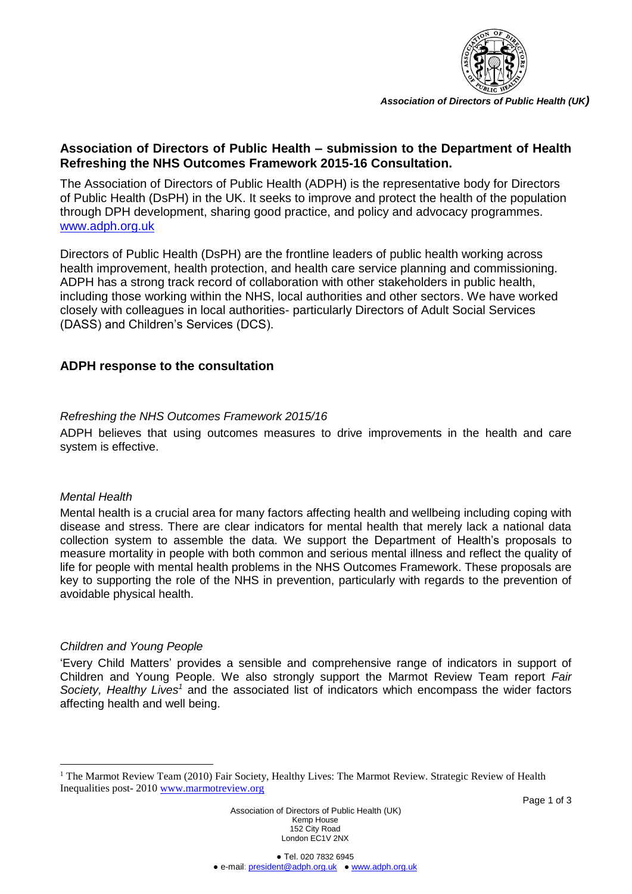

*Association of Directors of Public Health (UK)*

# **Association of Directors of Public Health – submission to the Department of Health Refreshing the NHS Outcomes Framework 2015-16 Consultation.**

The Association of Directors of Public Health (ADPH) is the representative body for Directors of Public Health (DsPH) in the UK. It seeks to improve and protect the health of the population through DPH development, sharing good practice, and policy and advocacy programmes. [www.adph.org.uk](http://www.adph.org.uk/)

Directors of Public Health (DsPH) are the frontline leaders of public health working across health improvement, health protection, and health care service planning and commissioning. ADPH has a strong track record of collaboration with other stakeholders in public health, including those working within the NHS, local authorities and other sectors. We have worked closely with colleagues in local authorities- particularly Directors of Adult Social Services (DASS) and Children's Services (DCS).

# **ADPH response to the consultation**

### *Refreshing the NHS Outcomes Framework 2015/16*

ADPH believes that using outcomes measures to drive improvements in the health and care system is effective.

### *Mental Health*

1

Mental health is a crucial area for many factors affecting health and wellbeing including coping with disease and stress. There are clear indicators for mental health that merely lack a national data collection system to assemble the data. We support the Department of Health's proposals to measure mortality in people with both common and serious mental illness and reflect the quality of life for people with mental health problems in the NHS Outcomes Framework. These proposals are key to supporting the role of the NHS in prevention, particularly with regards to the prevention of avoidable physical health.

# *Children and Young People*

'Every Child Matters' provides a sensible and comprehensive range of indicators in support of Children and Young People. We also strongly support the Marmot Review Team report *Fair Society, Healthy Lives<sup>1</sup>* and the associated list of indicators which encompass the wider factors affecting health and well being.

Association of Directors of Public Health (UK) Kemp House 152 City Road London EC1V 2NX

<sup>&</sup>lt;sup>1</sup> The Marmot Review Team (2010) Fair Society, Healthy Lives: The Marmot Review. Strategic Review of Health Inequalities post- 2010 [www.marmotreview.org](http://www.marmotreview.org/)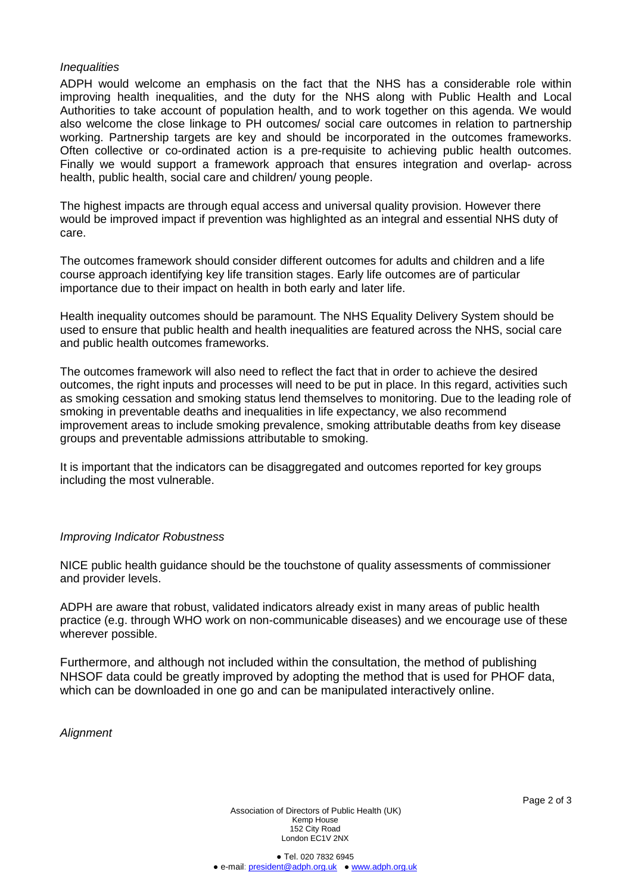### *Inequalities*

ADPH would welcome an emphasis on the fact that the NHS has a considerable role within improving health inequalities, and the duty for the NHS along with Public Health and Local Authorities to take account of population health, and to work together on this agenda. We would also welcome the close linkage to PH outcomes/ social care outcomes in relation to partnership working. Partnership targets are key and should be incorporated in the outcomes frameworks. Often collective or co-ordinated action is a pre-requisite to achieving public health outcomes. Finally we would support a framework approach that ensures integration and overlap- across health, public health, social care and children/ young people.

The highest impacts are through equal access and universal quality provision. However there would be improved impact if prevention was highlighted as an integral and essential NHS duty of care.

The outcomes framework should consider different outcomes for adults and children and a life course approach identifying key life transition stages. Early life outcomes are of particular importance due to their impact on health in both early and later life.

Health inequality outcomes should be paramount. The NHS Equality Delivery System should be used to ensure that public health and health inequalities are featured across the NHS, social care and public health outcomes frameworks.

The outcomes framework will also need to reflect the fact that in order to achieve the desired outcomes, the right inputs and processes will need to be put in place. In this regard, activities such as smoking cessation and smoking status lend themselves to monitoring. Due to the leading role of smoking in preventable deaths and inequalities in life expectancy, we also recommend improvement areas to include smoking prevalence, smoking attributable deaths from key disease groups and preventable admissions attributable to smoking.

It is important that the indicators can be disaggregated and outcomes reported for key groups including the most vulnerable.

#### *Improving Indicator Robustness*

NICE public health guidance should be the touchstone of quality assessments of commissioner and provider levels.

ADPH are aware that robust, validated indicators already exist in many areas of public health practice (e.g. through WHO work on non-communicable diseases) and we encourage use of these wherever possible.

Furthermore, and although not included within the consultation, the method of publishing NHSOF data could be greatly improved by adopting the method that is used for PHOF data, which can be downloaded in one go and can be manipulated interactively online.

*Alignment*

Association of Directors of Public Health (UK) Kemp House 152 City Road London EC1V 2NX